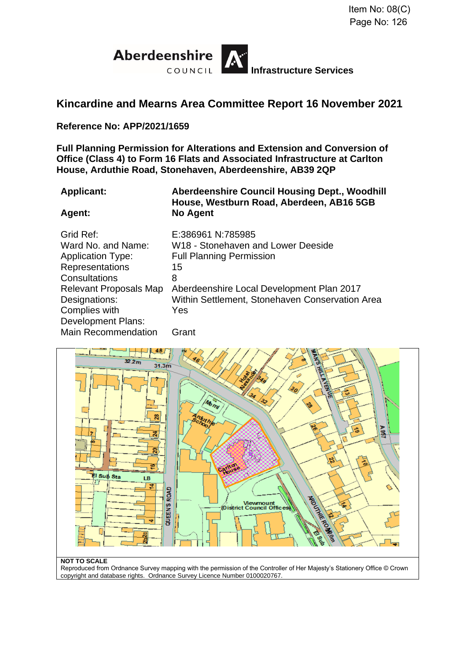

# **Kincardine and Mearns Area Committee Report 16 November 2021**

**Reference No: APP/2021/1659**

**Full Planning Permission for Alterations and Extension and Conversion of Office (Class 4) to Form 16 Flats and Associated Infrastructure at Carlton House, Arduthie Road, Stonehaven, Aberdeenshire, AB39 2QP**

**Applicant: Aberdeenshire Council Housing Dept., Woodhill House, Westburn Road, Aberdeen, AB16 5GB Agent: No Agent**

#### Grid Ref: E:386961 N:785985 Ward No. and Name: W18 - Stonehaven and Lower Deeside Application Type: Full Planning Permission Representations 15 Consultations 8 Relevant Proposals Map Aberdeenshire Local Development Plan 2017 Designations: Within Settlement, Stonehaven Conservation Area Complies with Development Plans: Yes Main Recommendation Grant



#### **NOT TO SCALE**

Reproduced from Ordnance Survey mapping with the permission of the Controller of Her Majesty's Stationery Office © Crown copyright and database rights. Ordnance Survey Licence Number 0100020767.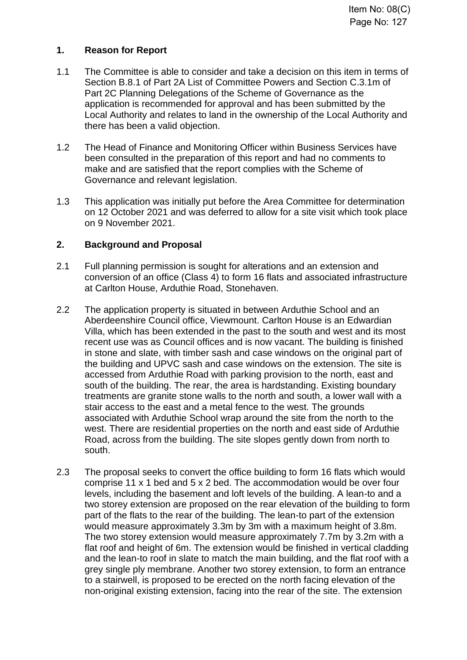# **1. Reason for Report**

- 1.1 The Committee is able to consider and take a decision on this item in terms of Section B.8.1 of Part 2A List of Committee Powers and Section C.3.1m of Part 2C Planning Delegations of the Scheme of Governance as the application is recommended for approval and has been submitted by the Local Authority and relates to land in the ownership of the Local Authority and there has been a valid objection.
- 1.2 The Head of Finance and Monitoring Officer within Business Services have been consulted in the preparation of this report and had no comments to make and are satisfied that the report complies with the Scheme of Governance and relevant legislation.
- 1.3 This application was initially put before the Area Committee for determination on 12 October 2021 and was deferred to allow for a site visit which took place on 9 November 2021.

# **2. Background and Proposal**

- 2.1 Full planning permission is sought for alterations and an extension and conversion of an office (Class 4) to form 16 flats and associated infrastructure at Carlton House, Arduthie Road, Stonehaven.
- 2.2 The application property is situated in between Arduthie School and an Aberdeenshire Council office, Viewmount. Carlton House is an Edwardian Villa, which has been extended in the past to the south and west and its most recent use was as Council offices and is now vacant. The building is finished in stone and slate, with timber sash and case windows on the original part of the building and UPVC sash and case windows on the extension. The site is accessed from Arduthie Road with parking provision to the north, east and south of the building. The rear, the area is hardstanding. Existing boundary treatments are granite stone walls to the north and south, a lower wall with a stair access to the east and a metal fence to the west. The grounds associated with Arduthie School wrap around the site from the north to the west. There are residential properties on the north and east side of Arduthie Road, across from the building. The site slopes gently down from north to south.
- 2.3 The proposal seeks to convert the office building to form 16 flats which would comprise 11 x 1 bed and 5 x 2 bed. The accommodation would be over four levels, including the basement and loft levels of the building. A lean-to and a two storey extension are proposed on the rear elevation of the building to form part of the flats to the rear of the building. The lean-to part of the extension would measure approximately 3.3m by 3m with a maximum height of 3.8m. The two storey extension would measure approximately 7.7m by 3.2m with a flat roof and height of 6m. The extension would be finished in vertical cladding and the lean-to roof in slate to match the main building, and the flat roof with a grey single ply membrane. Another two storey extension, to form an entrance to a stairwell, is proposed to be erected on the north facing elevation of the non-original existing extension, facing into the rear of the site. The extension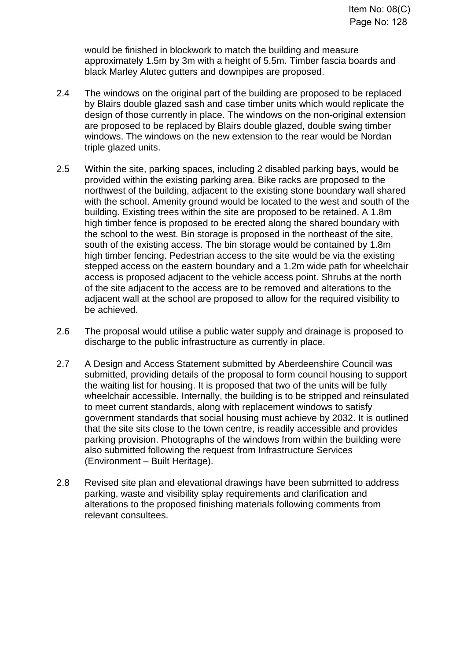would be finished in blockwork to match the building and measure approximately 1.5m by 3m with a height of 5.5m. Timber fascia boards and black Marley Alutec gutters and downpipes are proposed.

- 2.4 The windows on the original part of the building are proposed to be replaced by Blairs double glazed sash and case timber units which would replicate the design of those currently in place. The windows on the non-original extension are proposed to be replaced by Blairs double glazed, double swing timber windows. The windows on the new extension to the rear would be Nordan triple glazed units.
- 2.5 Within the site, parking spaces, including 2 disabled parking bays, would be provided within the existing parking area. Bike racks are proposed to the northwest of the building, adjacent to the existing stone boundary wall shared with the school. Amenity ground would be located to the west and south of the building. Existing trees within the site are proposed to be retained. A 1.8m high timber fence is proposed to be erected along the shared boundary with the school to the west. Bin storage is proposed in the northeast of the site, south of the existing access. The bin storage would be contained by 1.8m high timber fencing. Pedestrian access to the site would be via the existing stepped access on the eastern boundary and a 1.2m wide path for wheelchair access is proposed adjacent to the vehicle access point. Shrubs at the north of the site adjacent to the access are to be removed and alterations to the adjacent wall at the school are proposed to allow for the required visibility to be achieved.
- 2.6 The proposal would utilise a public water supply and drainage is proposed to discharge to the public infrastructure as currently in place.
- 2.7 A Design and Access Statement submitted by Aberdeenshire Council was submitted, providing details of the proposal to form council housing to support the waiting list for housing. It is proposed that two of the units will be fully wheelchair accessible. Internally, the building is to be stripped and reinsulated to meet current standards, along with replacement windows to satisfy government standards that social housing must achieve by 2032. It is outlined that the site sits close to the town centre, is readily accessible and provides parking provision. Photographs of the windows from within the building were also submitted following the request from Infrastructure Services (Environment – Built Heritage).
- 2.8 Revised site plan and elevational drawings have been submitted to address parking, waste and visibility splay requirements and clarification and alterations to the proposed finishing materials following comments from relevant consultees.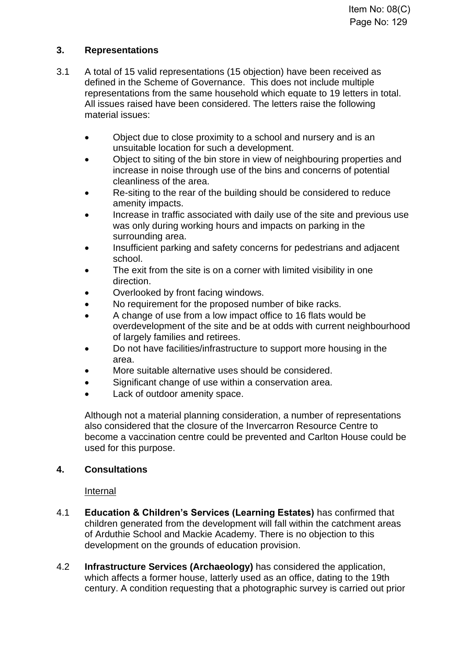# **3. Representations**

- 3.1 A total of 15 valid representations (15 objection) have been received as defined in the Scheme of Governance. This does not include multiple representations from the same household which equate to 19 letters in total. All issues raised have been considered. The letters raise the following material issues:
	- Object due to close proximity to a school and nursery and is an unsuitable location for such a development.
	- Object to siting of the bin store in view of neighbouring properties and increase in noise through use of the bins and concerns of potential cleanliness of the area.
	- Re-siting to the rear of the building should be considered to reduce amenity impacts.
	- Increase in traffic associated with daily use of the site and previous use was only during working hours and impacts on parking in the surrounding area.
	- Insufficient parking and safety concerns for pedestrians and adjacent school.
	- The exit from the site is on a corner with limited visibility in one direction.
	- Overlooked by front facing windows.
	- No requirement for the proposed number of bike racks.
	- A change of use from a low impact office to 16 flats would be overdevelopment of the site and be at odds with current neighbourhood of largely families and retirees.
	- Do not have facilities/infrastructure to support more housing in the area.
	- More suitable alternative uses should be considered.
	- Significant change of use within a conservation area.
	- Lack of outdoor amenity space.

Although not a material planning consideration, a number of representations also considered that the closure of the Invercarron Resource Centre to become a vaccination centre could be prevented and Carlton House could be used for this purpose.

# **4. Consultations**

#### Internal

- 4.1 **Education & Children's Services (Learning Estates)** has confirmed that children generated from the development will fall within the catchment areas of Arduthie School and Mackie Academy. There is no objection to this development on the grounds of education provision.
- 4.2 **Infrastructure Services (Archaeology)** has considered the application, which affects a former house, latterly used as an office, dating to the 19th century. A condition requesting that a photographic survey is carried out prior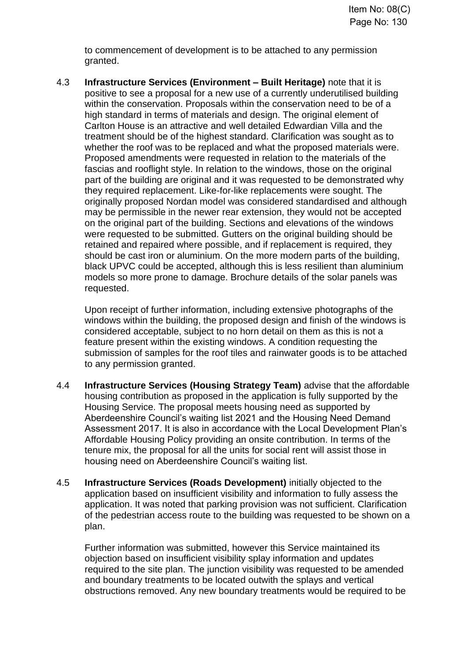to commencement of development is to be attached to any permission granted.

4.3 **Infrastructure Services (Environment – Built Heritage)** note that it is positive to see a proposal for a new use of a currently underutilised building within the conservation. Proposals within the conservation need to be of a high standard in terms of materials and design. The original element of Carlton House is an attractive and well detailed Edwardian Villa and the treatment should be of the highest standard. Clarification was sought as to whether the roof was to be replaced and what the proposed materials were. Proposed amendments were requested in relation to the materials of the fascias and rooflight style. In relation to the windows, those on the original part of the building are original and it was requested to be demonstrated why they required replacement. Like-for-like replacements were sought. The originally proposed Nordan model was considered standardised and although may be permissible in the newer rear extension, they would not be accepted on the original part of the building. Sections and elevations of the windows were requested to be submitted. Gutters on the original building should be retained and repaired where possible, and if replacement is required, they should be cast iron or aluminium. On the more modern parts of the building, black UPVC could be accepted, although this is less resilient than aluminium models so more prone to damage. Brochure details of the solar panels was requested.

Upon receipt of further information, including extensive photographs of the windows within the building, the proposed design and finish of the windows is considered acceptable, subject to no horn detail on them as this is not a feature present within the existing windows. A condition requesting the submission of samples for the roof tiles and rainwater goods is to be attached to any permission granted.

- 4.4 **Infrastructure Services (Housing Strategy Team)** advise that the affordable housing contribution as proposed in the application is fully supported by the Housing Service. The proposal meets housing need as supported by Aberdeenshire Council's waiting list 2021 and the Housing Need Demand Assessment 2017. It is also in accordance with the Local Development Plan's Affordable Housing Policy providing an onsite contribution. In terms of the tenure mix, the proposal for all the units for social rent will assist those in housing need on Aberdeenshire Council's waiting list.
- 4.5 **Infrastructure Services (Roads Development)** initially objected to the application based on insufficient visibility and information to fully assess the application. It was noted that parking provision was not sufficient. Clarification of the pedestrian access route to the building was requested to be shown on a plan.

Further information was submitted, however this Service maintained its objection based on insufficient visibility splay information and updates required to the site plan. The junction visibility was requested to be amended and boundary treatments to be located outwith the splays and vertical obstructions removed. Any new boundary treatments would be required to be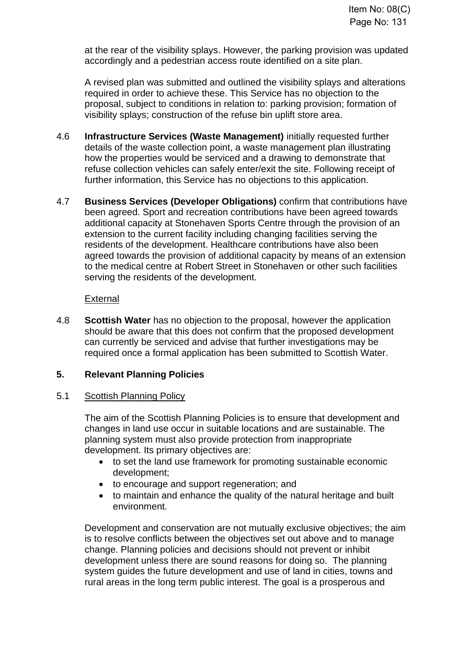at the rear of the visibility splays. However, the parking provision was updated accordingly and a pedestrian access route identified on a site plan.

A revised plan was submitted and outlined the visibility splays and alterations required in order to achieve these. This Service has no objection to the proposal, subject to conditions in relation to: parking provision; formation of visibility splays; construction of the refuse bin uplift store area.

- 4.6 **Infrastructure Services (Waste Management)** initially requested further details of the waste collection point, a waste management plan illustrating how the properties would be serviced and a drawing to demonstrate that refuse collection vehicles can safely enter/exit the site. Following receipt of further information, this Service has no objections to this application.
- 4.7 **Business Services (Developer Obligations)** confirm that contributions have been agreed. Sport and recreation contributions have been agreed towards additional capacity at Stonehaven Sports Centre through the provision of an extension to the current facility including changing facilities serving the residents of the development. Healthcare contributions have also been agreed towards the provision of additional capacity by means of an extension to the medical centre at Robert Street in Stonehaven or other such facilities serving the residents of the development.

#### External

4.8 **Scottish Water** has no objection to the proposal, however the application should be aware that this does not confirm that the proposed development can currently be serviced and advise that further investigations may be required once a formal application has been submitted to Scottish Water.

# **5. Relevant Planning Policies**

#### 5.1 Scottish Planning Policy

The aim of the Scottish Planning Policies is to ensure that development and changes in land use occur in suitable locations and are sustainable. The planning system must also provide protection from inappropriate development. Its primary objectives are:

- to set the land use framework for promoting sustainable economic development;
- to encourage and support regeneration; and
- to maintain and enhance the quality of the natural heritage and built environment.

Development and conservation are not mutually exclusive objectives; the aim is to resolve conflicts between the objectives set out above and to manage change. Planning policies and decisions should not prevent or inhibit development unless there are sound reasons for doing so. The planning system guides the future development and use of land in cities, towns and rural areas in the long term public interest. The goal is a prosperous and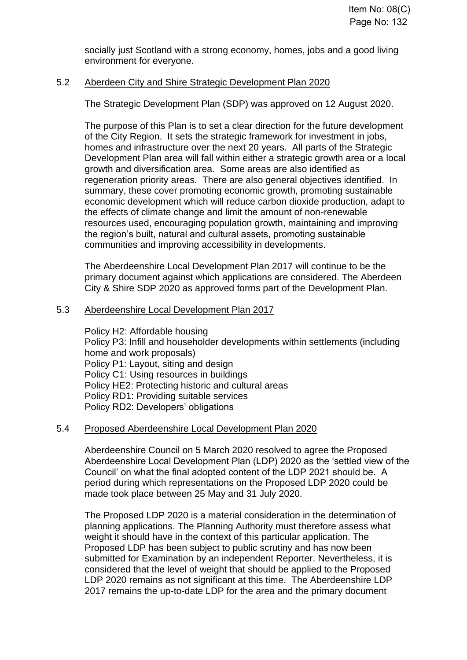socially just Scotland with a strong economy, homes, jobs and a good living environment for everyone.

#### 5.2 Aberdeen City and Shire Strategic Development Plan 2020

The Strategic Development Plan (SDP) was approved on 12 August 2020.

The purpose of this Plan is to set a clear direction for the future development of the City Region. It sets the strategic framework for investment in jobs, homes and infrastructure over the next 20 years. All parts of the Strategic Development Plan area will fall within either a strategic growth area or a local growth and diversification area. Some areas are also identified as regeneration priority areas. There are also general objectives identified. In summary, these cover promoting economic growth, promoting sustainable economic development which will reduce carbon dioxide production, adapt to the effects of climate change and limit the amount of non-renewable resources used, encouraging population growth, maintaining and improving the region's built, natural and cultural assets, promoting sustainable communities and improving accessibility in developments.

The Aberdeenshire Local Development Plan 2017 will continue to be the primary document against which applications are considered. The Aberdeen City & Shire SDP 2020 as approved forms part of the Development Plan.

#### 5.3 Aberdeenshire Local Development Plan 2017

Policy H2: Affordable housing Policy P3: Infill and householder developments within settlements (including home and work proposals) Policy P1: Layout, siting and design Policy C1: Using resources in buildings Policy HE2: Protecting historic and cultural areas Policy RD1: Providing suitable services Policy RD2: Developers' obligations

#### 5.4 Proposed Aberdeenshire Local Development Plan 2020

Aberdeenshire Council on 5 March 2020 resolved to agree the Proposed Aberdeenshire Local Development Plan (LDP) 2020 as the 'settled view of the Council' on what the final adopted content of the LDP 2021 should be. A period during which representations on the Proposed LDP 2020 could be made took place between 25 May and 31 July 2020.

The Proposed LDP 2020 is a material consideration in the determination of planning applications. The Planning Authority must therefore assess what weight it should have in the context of this particular application. The Proposed LDP has been subject to public scrutiny and has now been submitted for Examination by an independent Reporter. Nevertheless, it is considered that the level of weight that should be applied to the Proposed LDP 2020 remains as not significant at this time. The Aberdeenshire LDP 2017 remains the up-to-date LDP for the area and the primary document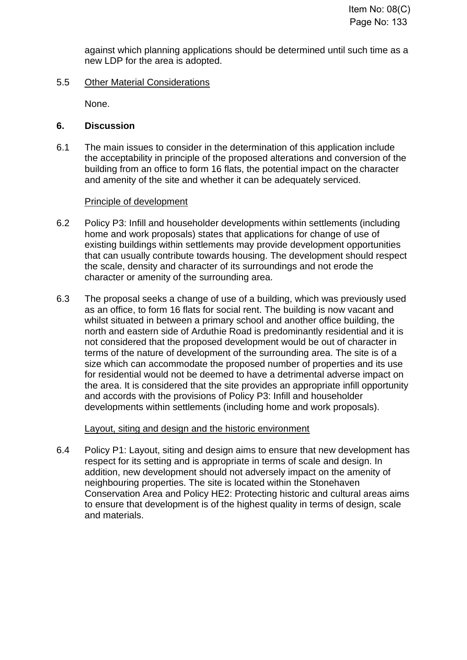against which planning applications should be determined until such time as a new LDP for the area is adopted.

### 5.5 Other Material Considerations

None.

#### **6. Discussion**

6.1 The main issues to consider in the determination of this application include the acceptability in principle of the proposed alterations and conversion of the building from an office to form 16 flats, the potential impact on the character and amenity of the site and whether it can be adequately serviced.

# Principle of development

- 6.2 Policy P3: Infill and householder developments within settlements (including home and work proposals) states that applications for change of use of existing buildings within settlements may provide development opportunities that can usually contribute towards housing. The development should respect the scale, density and character of its surroundings and not erode the character or amenity of the surrounding area.
- 6.3 The proposal seeks a change of use of a building, which was previously used as an office, to form 16 flats for social rent. The building is now vacant and whilst situated in between a primary school and another office building, the north and eastern side of Arduthie Road is predominantly residential and it is not considered that the proposed development would be out of character in terms of the nature of development of the surrounding area. The site is of a size which can accommodate the proposed number of properties and its use for residential would not be deemed to have a detrimental adverse impact on the area. It is considered that the site provides an appropriate infill opportunity and accords with the provisions of Policy P3: Infill and householder developments within settlements (including home and work proposals).

#### Layout, siting and design and the historic environment

6.4 Policy P1: Layout, siting and design aims to ensure that new development has respect for its setting and is appropriate in terms of scale and design. In addition, new development should not adversely impact on the amenity of neighbouring properties. The site is located within the Stonehaven Conservation Area and Policy HE2: Protecting historic and cultural areas aims to ensure that development is of the highest quality in terms of design, scale and materials.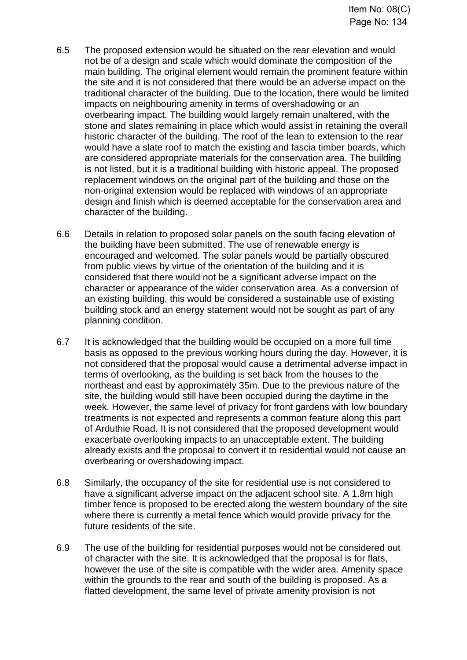- 6.5 The proposed extension would be situated on the rear elevation and would not be of a design and scale which would dominate the composition of the main building. The original element would remain the prominent feature within the site and it is not considered that there would be an adverse impact on the traditional character of the building. Due to the location, there would be limited impacts on neighbouring amenity in terms of overshadowing or an overbearing impact. The building would largely remain unaltered, with the stone and slates remaining in place which would assist in retaining the overall historic character of the building. The roof of the lean to extension to the rear would have a slate roof to match the existing and fascia timber boards, which are considered appropriate materials for the conservation area. The building is not listed, but it is a traditional building with historic appeal. The proposed replacement windows on the original part of the building and those on the non-original extension would be replaced with windows of an appropriate design and finish which is deemed acceptable for the conservation area and character of the building.
- 6.6 Details in relation to proposed solar panels on the south facing elevation of the building have been submitted. The use of renewable energy is encouraged and welcomed. The solar panels would be partially obscured from public views by virtue of the orientation of the building and it is considered that there would not be a significant adverse impact on the character or appearance of the wider conservation area. As a conversion of an existing building, this would be considered a sustainable use of existing building stock and an energy statement would not be sought as part of any planning condition.
- 6.7 It is acknowledged that the building would be occupied on a more full time basis as opposed to the previous working hours during the day. However, it is not considered that the proposal would cause a detrimental adverse impact in terms of overlooking, as the building is set back from the houses to the northeast and east by approximately 35m. Due to the previous nature of the site, the building would still have been occupied during the daytime in the week. However, the same level of privacy for front gardens with low boundary treatments is not expected and represents a common feature along this part of Arduthie Road. It is not considered that the proposed development would exacerbate overlooking impacts to an unacceptable extent. The building already exists and the proposal to convert it to residential would not cause an overbearing or overshadowing impact.
- 6.8 Similarly, the occupancy of the site for residential use is not considered to have a significant adverse impact on the adiacent school site. A 1.8m high timber fence is proposed to be erected along the western boundary of the site where there is currently a metal fence which would provide privacy for the future residents of the site.
- 6.9 The use of the building for residential purposes would not be considered out of character with the site. It is acknowledged that the proposal is for flats, however the use of the site is compatible with the wider area. Amenity space within the grounds to the rear and south of the building is proposed. As a flatted development, the same level of private amenity provision is not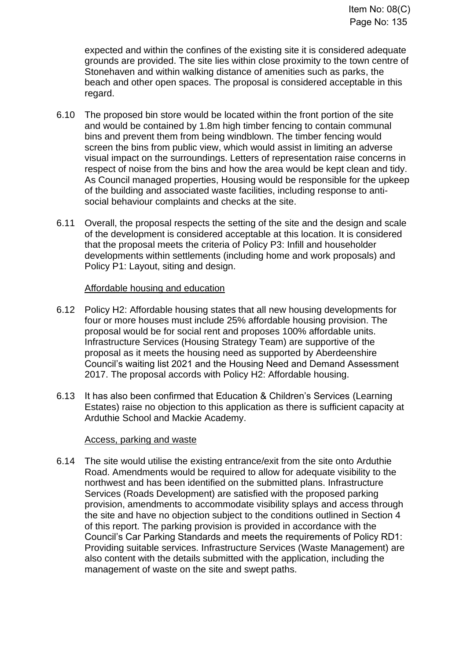expected and within the confines of the existing site it is considered adequate grounds are provided. The site lies within close proximity to the town centre of Stonehaven and within walking distance of amenities such as parks, the beach and other open spaces. The proposal is considered acceptable in this regard.

- 6.10 The proposed bin store would be located within the front portion of the site and would be contained by 1.8m high timber fencing to contain communal bins and prevent them from being windblown. The timber fencing would screen the bins from public view, which would assist in limiting an adverse visual impact on the surroundings. Letters of representation raise concerns in respect of noise from the bins and how the area would be kept clean and tidy. As Council managed properties, Housing would be responsible for the upkeep of the building and associated waste facilities, including response to antisocial behaviour complaints and checks at the site.
- 6.11 Overall, the proposal respects the setting of the site and the design and scale of the development is considered acceptable at this location. It is considered that the proposal meets the criteria of Policy P3: Infill and householder developments within settlements (including home and work proposals) and Policy P1: Layout, siting and design.

#### Affordable housing and education

- 6.12 Policy H2: Affordable housing states that all new housing developments for four or more houses must include 25% affordable housing provision. The proposal would be for social rent and proposes 100% affordable units. Infrastructure Services (Housing Strategy Team) are supportive of the proposal as it meets the housing need as supported by Aberdeenshire Council's waiting list 2021 and the Housing Need and Demand Assessment 2017. The proposal accords with Policy H2: Affordable housing.
- 6.13 It has also been confirmed that Education & Children's Services (Learning Estates) raise no objection to this application as there is sufficient capacity at Arduthie School and Mackie Academy.

#### Access, parking and waste

6.14 The site would utilise the existing entrance/exit from the site onto Arduthie Road. Amendments would be required to allow for adequate visibility to the northwest and has been identified on the submitted plans. Infrastructure Services (Roads Development) are satisfied with the proposed parking provision, amendments to accommodate visibility splays and access through the site and have no objection subject to the conditions outlined in Section 4 of this report. The parking provision is provided in accordance with the Council's Car Parking Standards and meets the requirements of Policy RD1: Providing suitable services. Infrastructure Services (Waste Management) are also content with the details submitted with the application, including the management of waste on the site and swept paths.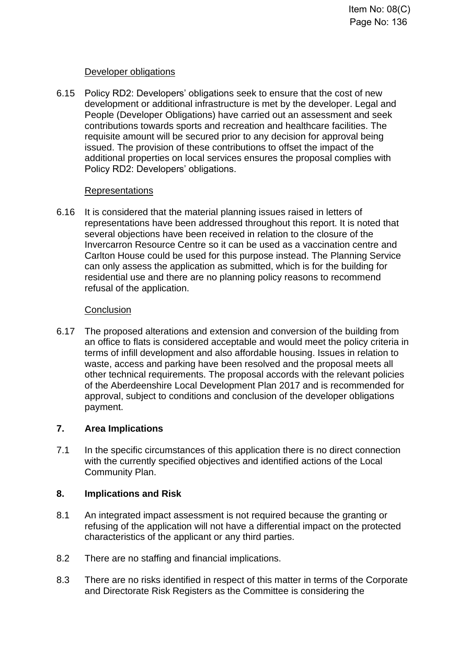# Developer obligations

6.15 Policy RD2: Developers' obligations seek to ensure that the cost of new development or additional infrastructure is met by the developer. Legal and People (Developer Obligations) have carried out an assessment and seek contributions towards sports and recreation and healthcare facilities. The requisite amount will be secured prior to any decision for approval being issued. The provision of these contributions to offset the impact of the additional properties on local services ensures the proposal complies with Policy RD2: Developers' obligations.

# Representations

6.16 It is considered that the material planning issues raised in letters of representations have been addressed throughout this report. It is noted that several objections have been received in relation to the closure of the Invercarron Resource Centre so it can be used as a vaccination centre and Carlton House could be used for this purpose instead. The Planning Service can only assess the application as submitted, which is for the building for residential use and there are no planning policy reasons to recommend refusal of the application.

# **Conclusion**

6.17 The proposed alterations and extension and conversion of the building from an office to flats is considered acceptable and would meet the policy criteria in terms of infill development and also affordable housing. Issues in relation to waste, access and parking have been resolved and the proposal meets all other technical requirements. The proposal accords with the relevant policies of the Aberdeenshire Local Development Plan 2017 and is recommended for approval, subject to conditions and conclusion of the developer obligations payment.

# **7. Area Implications**

7.1 In the specific circumstances of this application there is no direct connection with the currently specified objectives and identified actions of the Local Community Plan.

# **8. Implications and Risk**

- 8.1 An integrated impact assessment is not required because the granting or refusing of the application will not have a differential impact on the protected characteristics of the applicant or any third parties.
- 8.2 There are no staffing and financial implications.
- 8.3 There are no risks identified in respect of this matter in terms of the Corporate and Directorate Risk Registers as the Committee is considering the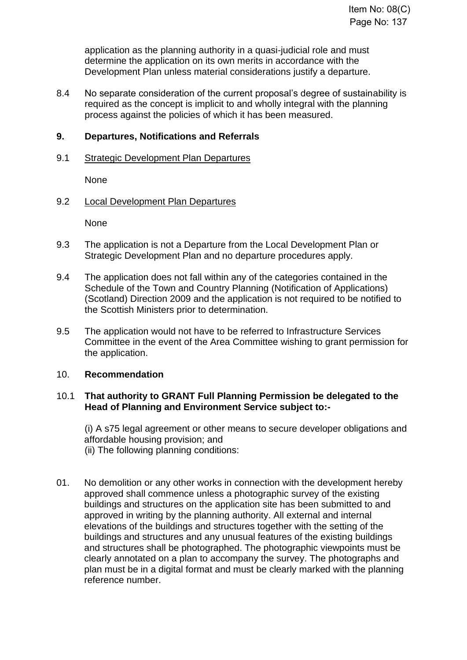application as the planning authority in a quasi-judicial role and must determine the application on its own merits in accordance with the Development Plan unless material considerations justify a departure.

8.4 No separate consideration of the current proposal's degree of sustainability is required as the concept is implicit to and wholly integral with the planning process against the policies of which it has been measured.

### **9. Departures, Notifications and Referrals**

#### 9.1 Strategic Development Plan Departures

None

#### 9.2 Local Development Plan Departures

None

- 9.3 The application is not a Departure from the Local Development Plan or Strategic Development Plan and no departure procedures apply.
- 9.4 The application does not fall within any of the categories contained in the Schedule of the Town and Country Planning (Notification of Applications) (Scotland) Direction 2009 and the application is not required to be notified to the Scottish Ministers prior to determination.
- 9.5 The application would not have to be referred to Infrastructure Services Committee in the event of the Area Committee wishing to grant permission for the application.

#### 10. **Recommendation**

#### 10.1 **That authority to GRANT Full Planning Permission be delegated to the Head of Planning and Environment Service subject to:-**

(i) A s75 legal agreement or other means to secure developer obligations and affordable housing provision; and (ii) The following planning conditions:

01. No demolition or any other works in connection with the development hereby approved shall commence unless a photographic survey of the existing buildings and structures on the application site has been submitted to and approved in writing by the planning authority. All external and internal elevations of the buildings and structures together with the setting of the buildings and structures and any unusual features of the existing buildings and structures shall be photographed. The photographic viewpoints must be clearly annotated on a plan to accompany the survey. The photographs and plan must be in a digital format and must be clearly marked with the planning reference number.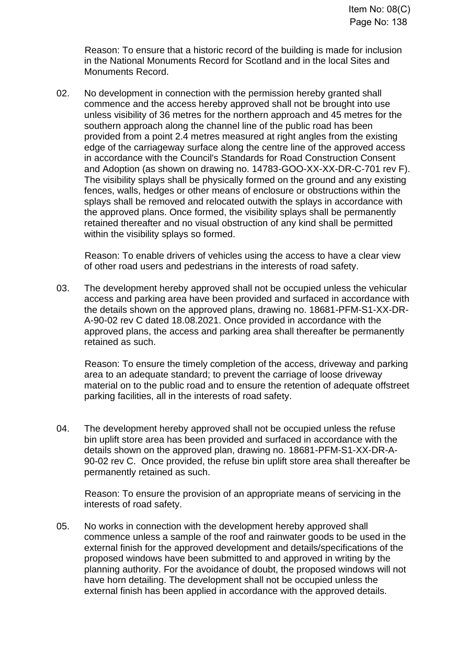Reason: To ensure that a historic record of the building is made for inclusion in the National Monuments Record for Scotland and in the local Sites and Monuments Record.

02. No development in connection with the permission hereby granted shall commence and the access hereby approved shall not be brought into use unless visibility of 36 metres for the northern approach and 45 metres for the southern approach along the channel line of the public road has been provided from a point 2.4 metres measured at right angles from the existing edge of the carriageway surface along the centre line of the approved access in accordance with the Council's Standards for Road Construction Consent and Adoption (as shown on drawing no. 14783-GOO-XX-XX-DR-C-701 rev F). The visibility splays shall be physically formed on the ground and any existing fences, walls, hedges or other means of enclosure or obstructions within the splays shall be removed and relocated outwith the splays in accordance with the approved plans. Once formed, the visibility splays shall be permanently retained thereafter and no visual obstruction of any kind shall be permitted within the visibility splays so formed.

Reason: To enable drivers of vehicles using the access to have a clear view of other road users and pedestrians in the interests of road safety.

03. The development hereby approved shall not be occupied unless the vehicular access and parking area have been provided and surfaced in accordance with the details shown on the approved plans, drawing no. 18681-PFM-S1-XX-DR-A-90-02 rev C dated 18.08.2021. Once provided in accordance with the approved plans, the access and parking area shall thereafter be permanently retained as such.

Reason: To ensure the timely completion of the access, driveway and parking area to an adequate standard; to prevent the carriage of loose driveway material on to the public road and to ensure the retention of adequate offstreet parking facilities, all in the interests of road safety.

04. The development hereby approved shall not be occupied unless the refuse bin uplift store area has been provided and surfaced in accordance with the details shown on the approved plan, drawing no. 18681-PFM-S1-XX-DR-A-90-02 rev C. Once provided, the refuse bin uplift store area shall thereafter be permanently retained as such.

Reason: To ensure the provision of an appropriate means of servicing in the interests of road safety.

05. No works in connection with the development hereby approved shall commence unless a sample of the roof and rainwater goods to be used in the external finish for the approved development and details/specifications of the proposed windows have been submitted to and approved in writing by the planning authority. For the avoidance of doubt, the proposed windows will not have horn detailing. The development shall not be occupied unless the external finish has been applied in accordance with the approved details.